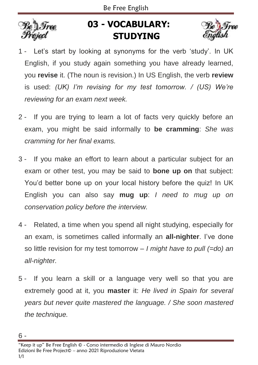

## **03 - VOCABULARY: STUDYING**



- 1 Let's start by looking at synonyms for the verb 'study'. In UK English, if you study again something you have already learned, you **revise** it. (The noun is revision.) In US English, the verb **review** is used: *(UK) I'm revising for my test tomorrow. / (US) We're reviewing for an exam next week.*
- 2 If you are trying to learn a lot of facts very quickly before an exam, you might be said informally to **be cramming**: *She was cramming for her final exams.*
- 3 If you make an effort to learn about a particular subject for an exam or other test, you may be said to **bone up on** that subject: You'd better bone up on your local history before the quiz! In UK English you can also say **mug up**: *I need to mug up on conservation policy before the interview.*
- 4 Related, a time when you spend all night studying, especially for an exam, is sometimes called informally an **all-nighter**. I've done so little revision for my test tomorrow – *I might have to pull (=do) an all-nighter.*
- 5 If you learn a skill or a language very well so that you are extremely good at it, you **master** it: *He lived in Spain for several years but never quite mastered the language. / She soon mastered the technique.*

<sup>6 -</sup>